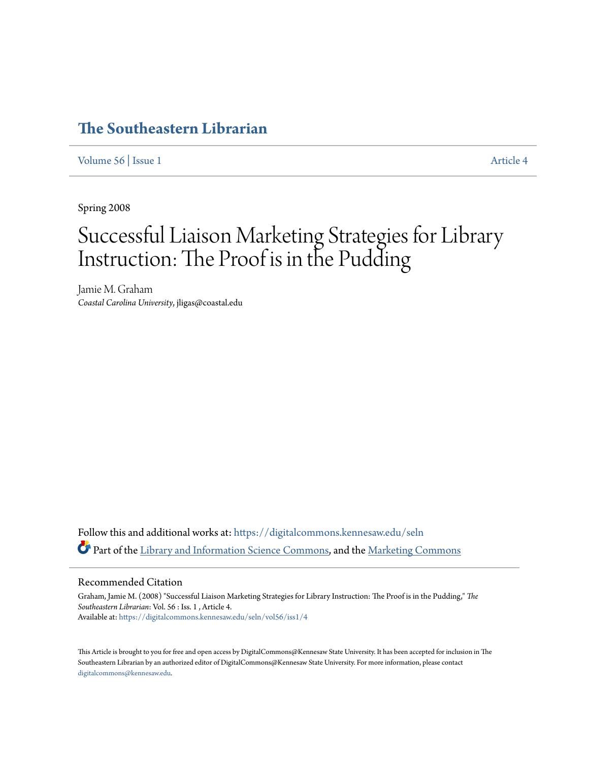# **[The Southeastern Librarian](https://digitalcommons.kennesaw.edu/seln?utm_source=digitalcommons.kennesaw.edu%2Fseln%2Fvol56%2Fiss1%2F4&utm_medium=PDF&utm_campaign=PDFCoverPages)**

[Volume 56](https://digitalcommons.kennesaw.edu/seln/vol56?utm_source=digitalcommons.kennesaw.edu%2Fseln%2Fvol56%2Fiss1%2F4&utm_medium=PDF&utm_campaign=PDFCoverPages) | [Issue 1](https://digitalcommons.kennesaw.edu/seln/vol56/iss1?utm_source=digitalcommons.kennesaw.edu%2Fseln%2Fvol56%2Fiss1%2F4&utm_medium=PDF&utm_campaign=PDFCoverPages) [Article 4](https://digitalcommons.kennesaw.edu/seln/vol56/iss1/4?utm_source=digitalcommons.kennesaw.edu%2Fseln%2Fvol56%2Fiss1%2F4&utm_medium=PDF&utm_campaign=PDFCoverPages)

Spring 2008

# Successful Liaison Marketing Strategies for Library Instruction: The Proof is in the Pudding

Jamie M. Graham *Coastal Carolina University*, jligas@coastal.edu

Follow this and additional works at: [https://digitalcommons.kennesaw.edu/seln](https://digitalcommons.kennesaw.edu/seln?utm_source=digitalcommons.kennesaw.edu%2Fseln%2Fvol56%2Fiss1%2F4&utm_medium=PDF&utm_campaign=PDFCoverPages) Part of the [Library and Information Science Commons,](http://network.bepress.com/hgg/discipline/1018?utm_source=digitalcommons.kennesaw.edu%2Fseln%2Fvol56%2Fiss1%2F4&utm_medium=PDF&utm_campaign=PDFCoverPages) and the [Marketing Commons](http://network.bepress.com/hgg/discipline/638?utm_source=digitalcommons.kennesaw.edu%2Fseln%2Fvol56%2Fiss1%2F4&utm_medium=PDF&utm_campaign=PDFCoverPages)

# Recommended Citation

Graham, Jamie M. (2008) "Successful Liaison Marketing Strategies for Library Instruction: The Proof is in the Pudding," *The Southeastern Librarian*: Vol. 56 : Iss. 1 , Article 4. Available at: [https://digitalcommons.kennesaw.edu/seln/vol56/iss1/4](https://digitalcommons.kennesaw.edu/seln/vol56/iss1/4?utm_source=digitalcommons.kennesaw.edu%2Fseln%2Fvol56%2Fiss1%2F4&utm_medium=PDF&utm_campaign=PDFCoverPages)

This Article is brought to you for free and open access by DigitalCommons@Kennesaw State University. It has been accepted for inclusion in The Southeastern Librarian by an authorized editor of DigitalCommons@Kennesaw State University. For more information, please contact [digitalcommons@kennesaw.edu.](mailto:digitalcommons@kennesaw.edu)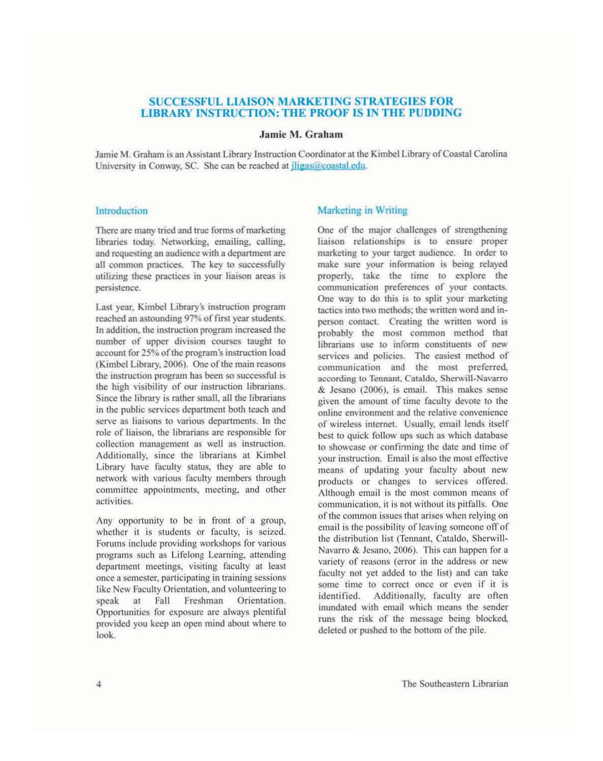# SUCCESSFUL LIAISON MARKETING STRATEGIES FOR **LIBRARY INSTRUCTION: THE PROOF IS IN THE PUDDING**

# Jamie M. Graham

Jamie M. Graham is an Assistant Library Instruction Coordinator at the Kimbel Library of Coastal Carolina University in Conway, SC. She can be reached at *iligas@coastal.edu.* 

# Introduction

There are many tried and true forms of marketing libraries today. Networking. emailing. calling, and requesting an audience with a department are all common practices. The key 10 successfully utilizing these practices in your liaison areas is persistence.

Last year, Kimbel Library's instruction program reached an astounding 97% of first year students. In addition, the instruction program increased the number of upper division courses taught to account for 25% of the program's instruction load (Kimbel Library, 2006). One of the main reasons the instruction program has been so successful is the high visibility of our instruction librarians. Since the library is rather small, all the librarians in the public services department both teach and serve as liaisons to various departments. In the role of liaison. 'he librarians are responsible for collection management as well as instruction. Additionally. since the librarians at Kimbel Library have faculty status, they are able to network with various faculty members through committee appointments, meeting, and other activities.

Any opportunity to be in front of a group, whether it is students or faculty, is seized. Forums include providing workshops for various programs such as Lifelong Learning, attending department meetings. visiting faculty at least once a semester. participating in training sessions like New Faculty Orientation, and volunteering to speak at Fall Freshman Orientation. Opportunities for exposure are always plentiful provided you keep an open mind about where to look.

# Marketing in Writing

One of the major challenges of strengthening liaison relationships is to ensure proper marketing to your target audience. In order to make sure your infonnation is being relayed properly. take the time to explore the communication preferences of your contacts. One way to do this is to split your marketing tactics into two methods: the written word and inperson contact. Creating the written word is probably the most common method that librarians use to inform constituents of new services and policies. The easiest method of communication and the most preferred. according to Tennant. Cataldo. Sherwill-Navarro & Jcsano (2006), is cmail. This makes sense given the amount of time faculty devote to the online environment and the relative convenience of wireless internet. Usually, email lends itself best to quick follow ups such as whieh database to showcase or confirming the date and time of your instruction. Email is also the most effective means of updating your faculty about new products or changes to services offered. Although email is the most common means of communication. it is not without its pitfalls, One of the common issues that arises when relying on email is the possibility of leaving someone off of the distribution list (Tennant, Cataldo, Sherwill-Navarro & Jesano. 2006). This can happen for a variety of reasons (error in the address or new faculty not yet added to the list) and can take some time to correct oncc or even if it is identified. Additionally. faculty are often inundated with email which means the sender runs the risk of the message being blocked deleted or pushed to the bottom of the pile.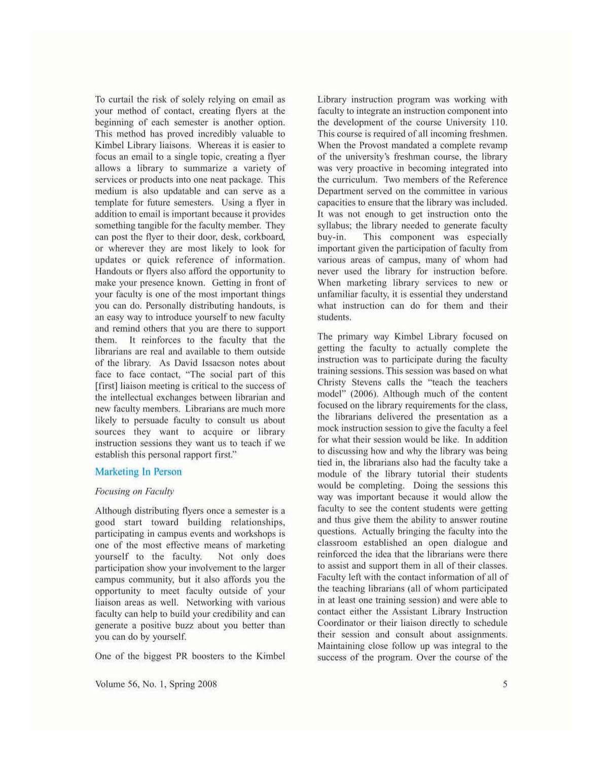To curtail the risk of solely relying on cmail as your method of contact. creating flyers at the beginning of each semester is another option. This method has proved incredibly valuable to Kimbel Library liaisons. Whereas it is easier to focus an email to a single topic, creating a flyer allows a library to summarize a variety of services or products into one neat package. This medium is also updatable and can serve as a template for future semesters. Using a flyer in addition to email is important because it provides something tangible for the faculty member. They can post the flyer to their door. desk. corkboard or wherever they are most likely to look for updates or quick reference of information. Handouts or flyers also afford the opportunity to make your presence known. Getting in front of your faculty is one of the most important things you can do. Personally distributing handouts. is an easy way to introduce yourself to new faculty and remind others that you are there to support them. It reinforces to the faculty that the librarians are real and available to them outside of the library. As David Issacson notes about face to face contact, "The social part of this [first] liaison meeting is critical to the success of the intellectual exchanges between librarian and new faculty members. Librarians are much more likely to persuade faculty to consult us about sources they want to acquire or library instruction sessions they want us to teach if we establish this personal rapport first."

# Marketing In Person

# Focusing on Faculty

Although distributing tlyers once a semester is a good start toward building relationships, participating in campus events and workshops is one of the most effective means of marketing yourself to the faculty. Not only does participation show your involvement to the larger campus community, but it also affords you the opportunity to meet faculty outside of your liaison areas as well. Networking with various faculty can help to build your credibility and can genernte a positive buzz about you better than you can do by yourself.

One of the biggest PR boosters to the Kimbel

Volume 56, No. I. Spring 2008

Library instruction program was working with faculty to integrate an instruction component into the development of the course University 110. This course is required of all incoming freshmen. When the Provost mandated a complete revamp of the university's freshman course, the library was very proactive in becoming integrated into the curriculum. Two members of the Reference Department served on the committee in various capacities to ensure that the library was included. II was not enough to get instruction onto the syllabus; the library needed to generate faculty buy-in, This component was especially important given the participation of faculty from various areas of campus, many of whom had never used the library for instruction before\_ When marketing library services to new or unfamiliur faculty, it is essential they understand what instruction can do for them and their students.

The primary way Kimbel Library focused on getting the faculty to actually complete the instruction was to participate during the faculty training sessions, This session was based on what Christy Stevens calls the "teach the teachers model" (2006). Although much of the content focused on the library requirements for the class, the librarians delivered the prcsentation as a mock instruction session to give the faculty a feel for what their session would be like. In addition to discussing how and why the library was being tied in, the librarians also had the faculty take a module of the library tutorial their students would be completing. Doing the sessions this way was important because it would allow the faculty to see the content students were getting and thus give them the ability to answer routine questions. Actually bringing the faculty into the classroom established an open dialogue and reinforced the idea that the librarians were there to assist and support them in all of their classes. Faculty left with the contact information of all of the teaching librarians (all of whom participated in at least one training session) and were able to contact either the Assistant Library Instruction Coordinator or their liaison directly to schedule their session and consult about assignments. Maintaining close follow up was integral to the success of the program. Over the course of the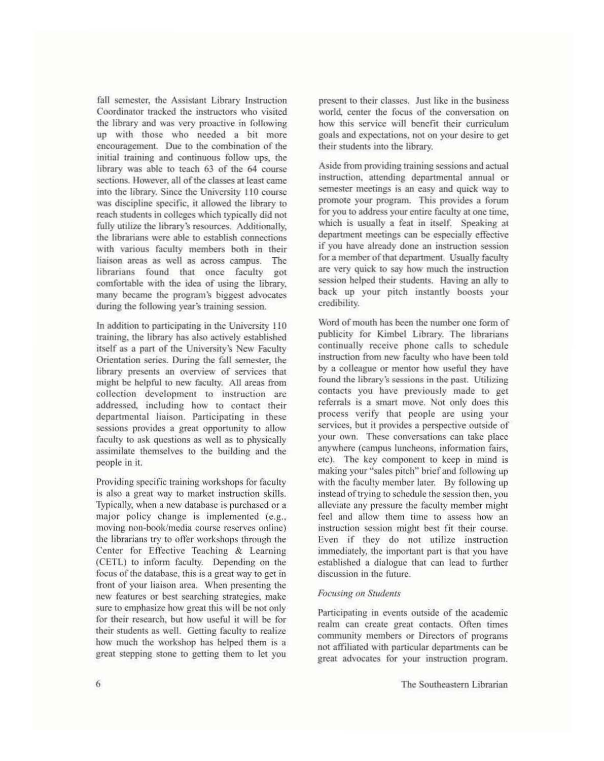fall semester, the Assistant Library Instruction Coordinator tracked the instructors who visited the library and was very proactive in following up with those who needed a bit more encouragement. Due to the combination of the initial training and continuous follow ups, the library was able to teach 63 of the 64 course sections. However, all of the classes at least came into the library. Since the University 110 course was discipline specific. it allowed the library to reach students in colleges which typically did not fully utilize the library's resources. Additionally, the librarians were able to establish connections with various faculty members both in their liaison areas as well as across campus. The librarians found that once faculty got comfortable With the idea of using the library. many became the program's biggest advocates during the following year's training session.

In addition to participating in the University 110 training, the library has also actively established itself as a part of the University's New Faculty Orientation series. During the fall semester. the library presents an overview of services that might be helpful to new faculty. All areas from collection development to instruction arc addressed, including how to contact their departmental liaison. Participating in these sessions provides a great opportunity to allow faculty to ask questions as well as to physically assimilate themselves to the building and the people in it.

Providing specific training workshops for faculty is also a great way to market instruction skills. Typically, when a new database is purchased or a major policy change is implemented (e.g., moving non-book/media course reserves online) the librarians try to offer workshops through the Center for Effective Teaching & Learning (CETL) to inform faculty. Depending on the focus of the database, this is a great way to get in front of your liaison area. When presenting the new features or best searching sirategics, make sure to emphasize how great this will be not only for their research, but how useful it will be for their students as well. Getting faculty to realize how much the workshop has helped them is a great stepping stone to getting them to let you

present 10 their classes. Just like in the business world center the focus of the conversation on how this service will benefit their curriculum goals and expectations. not on your desire to get their students into the library.

Aside from providing training sessions and actual instruction. attending departmental annual or semester meetings is an easy and quick way to promote your program. This provides a forum for you to address your entire faculty at one time, which is usually a feat in itself. Speaking at department meetings can be especially effective if you have already done an instruction session for a member of that department. Usually faculty are very quick to say how much Ihe instruction session helped their students. Having an ally to back up your pitch instantly boosts your credibility.

Word of mouth has been the number one form of publicity for Kimbel Library. The librarians continually receive phone calls to schedule instruction from new faculty who have been told by a colleague or mentor how useful they have found the library's sessions in the past. Utilizing contacts you have previously made to get referrals is a smart move. Not only does this process verify that people are using your services. but it provides a perspective outside of your own. These conversations can take place anywhere (campus luncheons, information fairs, etc). The key component to keep in mind is making your "sales pitch" brief and following up with the faculty member later. By following up instead of trying to schedule the session then, you alleviate any pressure the faculty member might feel and allow them time to assess how an instruction session might best fit their course. Even if they do not utilize instruction immediately, the important part is that you have established a dialogue that can lead to further discussion in the future,

# Focusing on Students

Participating in events outside of the academic realm can create great contacts. Often times community members or Directors of programs not affiliated with particular departments can be great advocates for your instruction program.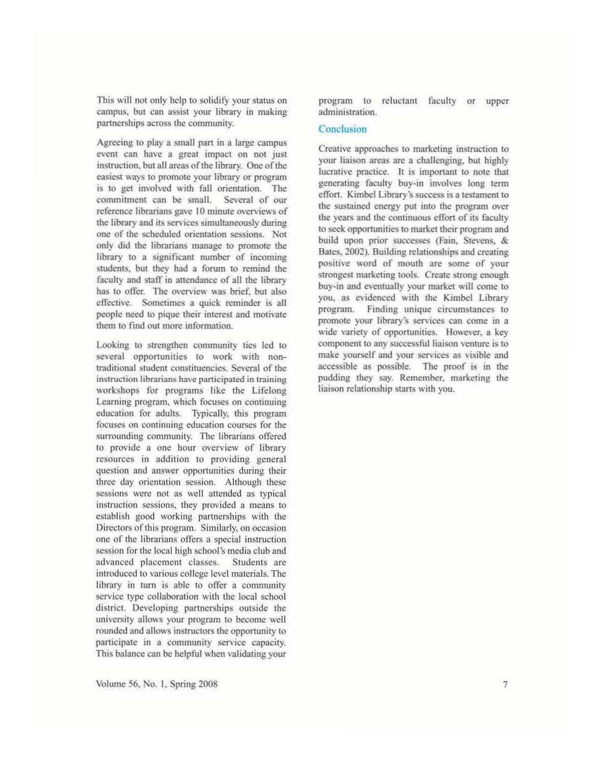This will not only help to solidify your status on campus. but can assist your library in making partnerships across the community.

Agreeing to play a small part in a large campus event can have a great impact on not just instruction, but all areas of the library. One of the easiest ways to promote your library or program is to get involved with fall orientation. The commitment can be small. Several of our reference librarians gave 10 minute overviews of the library and its services simultaneously during one of the scheduled oricntalion sessions. Not only did the librarians manage 10 promote the library to a significant number of incoming students. but they had a forum to remind the faculty and staff in attendance of all the library has to offer. The overview was brief, but also effective. Sometimes a quick reminder is all people need to pique their interest and motivate them 10 find out more information.

Looking to strengthen community ties led to several opportunities to work with nontraditional student constituencies. Several of the instruction librarians have participated in training workshops for programs likc thc Lifelong Learning program. which focuses on continuing education for adults. Typically. this program focuses on continuing education courses for the surrounding community. The librarians offered to provide a one hour overview of library resources in addition to providing general question and answer opportunities during their three day orientation session. Although these sessions were not as well attended as typical instruction sessions, they provided a means to establish good working partnerships with the Directors of this program. Similarly, on occasion one of the librarians offers a special instruction session for the local high school's media club and advanced placement classes. Students are introduced to various college level matcrials. Thc library in turn is able to offer a community scrvicc type collaboration with the local school district. Developing pannerships outside the university allows your program to become well rounded and allows instructors the opportunity to panicipate in a community service capacity. This balance can be helpful when validating your

program to reluctant faculty or upper administration.

# **Conclusion**

Creative approaches to marketing instruction to your liaison areas are a challenging, but highly lucrative practice. It is important to note that generating faculty buy-in involves long term effort. Kimbel Library's success is a testament to the sustained energy put into the program over the years and the continuous effort of its faculty to seek opportunities to market their program and build upon prior successes (Fain. Stevens. & Bates, 2002). Building relationships and creating positive word of mouth are some of your strongest marketing tools. Create strong enough buy-in and eventually your market will come to you, as evidenced with the Kimbel Library program. Finding unique circumstances to promote your library's services can come in a wide variety of opportunities. However, a key component to any successful liaison venture is to make yourself and your services as visible and accessible as possible. The proof is in the pudding they say. Remember. marketing the liaison relationship starts with you.